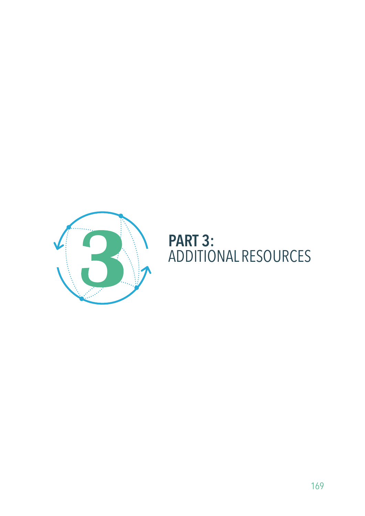

## **PART 3:**<br>ADDITIONAL RESOURCES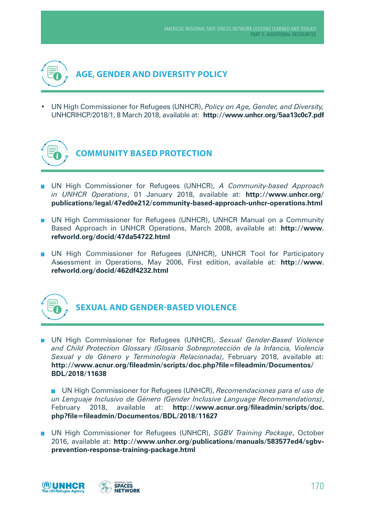

UN High Commissioner for Refugees (UNHCR), *Policy on Age, Gender, and Diversity*, UNHCRlHCP/2018/1, 8 March 2018, available at: **http://www.unhcr.org/5aa13c0c7.pdf**



- UN High Commissioner for Refugees (UNHCR), *A Community-based Approach in UNHCR Operations*, 01 January 2018, available at: **http://www.unhcr.org/ publications/legal/47ed0e212/community-based-approach-unhcr-operations.html**
- **UN High Commissioner for Refugees (UNHCR), UNHCR Manual on a Community** Based Approach in UNHCR Operations, March 2008, available at: **http://www. refworld.org/docid/47da54722.html**
- **UN High Commissioner for Refugees (UNHCR), UNHCR Tool for Participatory** Assessment in Operations, May 2006, First edition, available at: **http://www. refworld.org/docid/462df4232.html**



## **SEXUAL AND GENDER-BASED VIOLENCE**

UN High Commissioner for Refugees (UNHCR), *Sexual Gender-Based Violence and Child Protection Glossary (Glosario Sobreprotección de la Infancia, Violencia Sexual y de Género y Terminología Relacionada)*, February 2018, available at: **http://www.acnur.org/fileadmin/scripts/doc.php?file=fileadmin/Documentos/ BDL/2018/11638**

UN High Commissioner for Refugees (UNHCR), *Recomendaciones para el uso de un Lenguaje Inclusivo de Género (Gender Inclusive Language Recommendations)*, February 2018, available at: **http://www.acnur.org/fileadmin/scripts/doc. php?file=fileadmin/Documentos/BDL/2018/11627**

UN High Commissioner for Refugees (UNHCR), *SGBV Training Package*, October 2016, available at: **http://www.unhcr.org/publications/manuals/583577ed4/sgbvprevention-response-training-package.html**

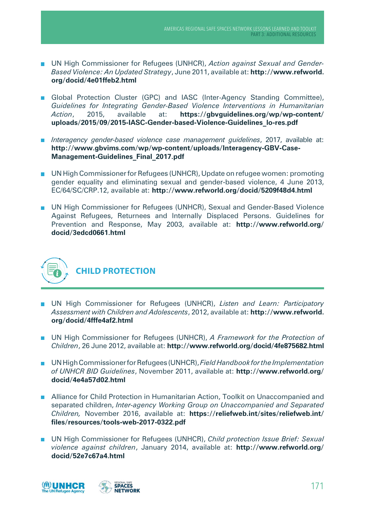- UN High Commissioner for Refugees (UNHCR), *Action against Sexual and Gender-Based Violence: An Updated Strategy*, June 2011, available at: **http://www.refworld. org/docid/4e01ffeb2.html**
- Global Protection Cluster (GPC) and IASC (Inter-Agency Standing Committee), *Guidelines for Integrating Gender-Based Violence Interventions in Humanitarian Action*, 2015, available at: **https://gbvguidelines.org/wp/wp-content/ uploads/2015/09/2015-IASC-Gender-based-Violence-Guidelines\_lo-res.pdf**
- *Interagency gender-based violence case management guidelines*, 2017, available at: **http://www.gbvims.com/wp/wp-content/uploads/Interagency-GBV-Case-Management-Guidelines\_final\_2017.pdf**
- UN High Commissioner for Refugees (UNHCR), Update on refugee women: promoting gender equality and eliminating sexual and gender-based violence, 4 June 2013, EC/64/SC/CRP.12, available at: **http://www.refworld.org/docid/5209f48d4.html**
- UN High Commissioner for Refugees (UNHCR), Sexual and Gender-Based Violence Against Refugees, Returnees and Internally Displaced Persons. Guidelines for Prevention and Response, May 2003, available at: **http://www.refworld.org/ docid/3edcd0661.html**



- UN High Commissioner for Refugees (UNHCR), *Listen and Learn: Participatory Assessment with Children and Adolescents*, 2012, available at: **http://www.refworld. org/docid/4fffe4af2.html**
- UN High Commissioner for Refugees (UNHCR), *A Framework for the Protection of Children*, 26 June 2012, available at: **http://www.refworld.org/docid/4fe875682.html**
- UN High Commissioner for Refugees (UNHCR), *Field Handbook for the Implementation of UNHCR BID Guidelines*, November 2011, available at: **http://www.refworld.org/ docid/4e4a57d02.html**
- **Alliance for Child Protection in Humanitarian Action, Toolkit on Unaccompanied and** separated children, *Inter-agency Working Group on Unaccompanied and Separated Children,* November 2016, available at: **https://reliefweb.int/sites/reliefweb.int/ files/resources/tools-web-2017-0322.pdf**
- UN High Commissioner for Refugees (UNHCR), *Child protection Issue Brief: Sexual violence against children*, January 2014, available at: **http://www.refworld.org/ docid/52e7c67a4.html**

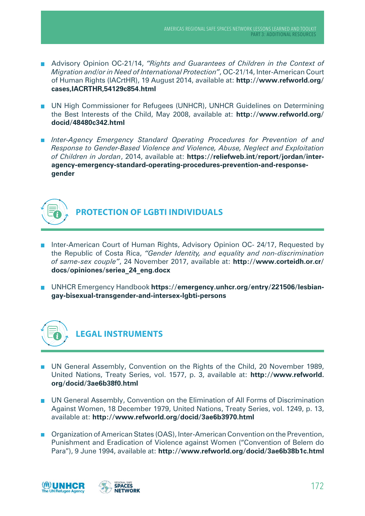- Advisory Opinion OC-21/14, *"Rights and Guarantees of Children in the Context of Migration and/or in Need of International Protection"*, OC-21/14, Inter-American Court of Human Rights (IACrtHR), 19 August 2014, available at: **http://www.refworld.org/ cases,IACRTHR,54129c854.html**
- **UN High Commissioner for Refugees (UNHCR), UNHCR Guidelines on Determining** the Best Interests of the Child, May 2008, available at: **http://www.refworld.org/ docid/48480c342.html**
- *Inter-Agency Emergency Standard Operating Procedures for Prevention of and Response to Gender-Based Violence and Violence, Abuse, Neglect and Exploitation of Children in Jordan*, 2014, available at: **https://reliefweb.int/report/jordan/interagency-emergency-standard-operating-procedures-prevention-and-responsegender**



## **PROTECTION OF LGBTI INDIVIDUALS**

- Inter-American Court of Human Rights, Advisory Opinion OC- 24/17, Requested by the Republic of Costa Rica, *"Gender Identity, and equality and non-discrimination of same-sex couple"*, 24 November 2017, available at: **http://www.corteidh.or.cr/ docs/opiniones/seriea\_24\_eng.docx**
- UNHCR Emergency Handbook https://emergency.unhcr.org/entry/221506/lesbian**gay-bisexual-transgender-and-intersex-lgbti-persons**



- **UN General Assembly, Convention on the Rights of the Child, 20 November 1989,** United Nations, Treaty Series, vol. 1577, p. 3, available at: **http://www.refworld. org/docid/3ae6b38f0.html**
- UN General Assembly, Convention on the Elimination of All Forms of Discrimination  $\overline{\phantom{a}}$ Against Women, 18 December 1979, United Nations, Treaty Series, vol. 1249, p. 13, available at: **http://www.refworld.org/docid/3ae6b3970.html**
- **Dranization of American States (OAS), Inter-American Convention on the Prevention,** Punishment and Eradication of Violence against Women ("Convention of Belem do Para"), 9 June 1994, available at: **http://www.refworld.org/docid/3ae6b38b1c.html**

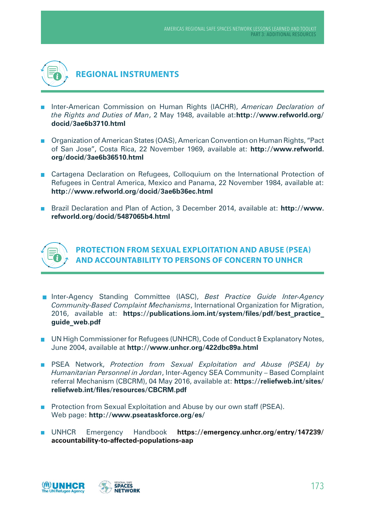

- **Inter-American Commission on Human Rights (IACHR),** *American Declaration of the Rights and Duties of Man*, 2 May 1948, available at:**http://www.refworld.org/ docid/3ae6b3710.html**
- Organization of American States (OAS), American Convention on Human Rights, "Pact of San Jose", Costa Rica, 22 November 1969, available at: **http://www.refworld. org/docid/3ae6b36510.html**
- Cartagena Declaration on Refugees, Colloquium on the International Protection of Refugees in Central America, Mexico and Panama, 22 November 1984, available at: **http://www.refworld.org/docid/3ae6b36ec.html**
- Brazil Declaration and Plan of Action, 3 December 2014, available at: **http://www. refworld.org/docid/5487065b4.html**



**PROTECTION FROM SEXUAL EXPLOITATION AND ABUSE (PSEA) AND ACCOUNTABILITY TO PERSONS OF CONCERN TO UNHCR** 

- Inter-Agency Standing Committee (IASC), *Best Practice Guide Inter-Agency Community-Based Complaint Mechanisms*, International Organization for Migration, 2016, available at: **https://publications.iom.int/system/files/pdf/best\_practice\_ guide\_web.pdf**
- **UN High Commissioner for Refugees (UNHCR), Code of Conduct & Explanatory Notes,** June 2004, available at **http://www.unhcr.org/422dbc89a.html**
- **PSEA Network,** *Protection from Sexual Exploitation and Abuse (PSEA) by Humanitarian Personnel in Jordan*, Inter-Agency SEA Community – Based Complaint referral Mechanism (CBCRM), 04 May 2016, available at: **https://reliefweb.int/sites/ reliefweb.int/files/resources/CBCRM.pdf**
- **Protection from Sexual Exploitation and Abuse by our own staff (PSEA).** Web page: **http://www.pseataskforce.org/es/**
- UNHCR Emergency Handbook **https://emergency.unhcr.org/entry/147239/ accountability-to-affected-populations-aap**

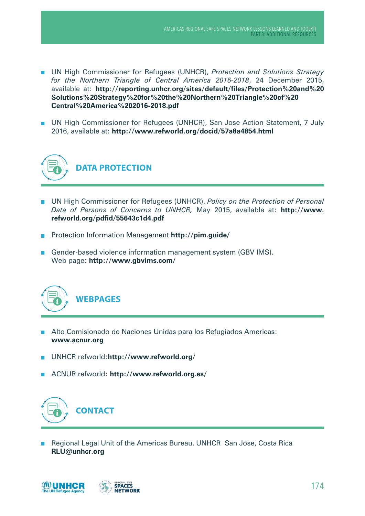- UN High Commissioner for Refugees (UNHCR), *Protection and Solutions Strategy for the Northern Triangle of Central America 2016-2018*, 24 December 2015, available at: **http://reporting.unhcr.org/sites/default/files/Protection%20and%20 Solutions%20Strategy%20for%20the%20Northern%20Triangle%20of%20 Central%20America%202016-2018.pdf**
- UN High Commissioner for Refugees (UNHCR), San Jose Action Statement, 7 July 2016, available at: **http://www.refworld.org/docid/57a8a4854.html**



- UN High Commissioner for Refugees (UNHCR), *Policy on the Protection of Personal Data of Persons of Concerns to UNHCR,* May 2015, available at: **http://www. refworld.org/pdfid/55643c1d4.pdf**
- Protection Information Management **http://pim.guide/**
- Gender-based violence information management system (GBV IMS). Web page: **http://www.gbvims.com/**



- Alto Comisionado de Naciones Unidas para los Refugiados Americas: **www.acnur.org**
- UNHCR refworld:**http://www.refworld.org/**
- ACNUR refworld**: http://www.refworld.org.es/**



**Regional Legal Unit of the Americas Bureau. UNHCR San Jose, Costa Rica RLU@unhcr.org**